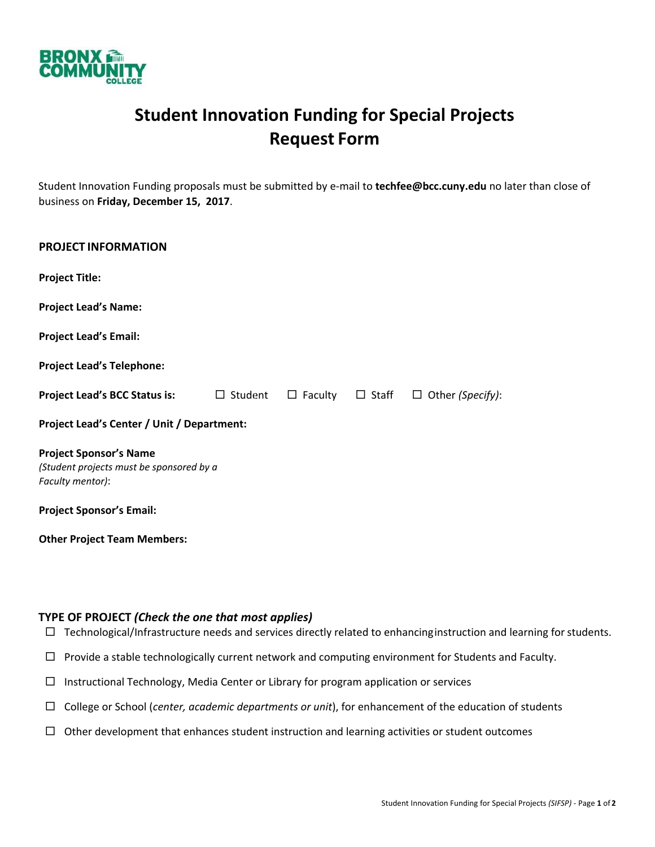

## **Student Innovation Funding for Special Projects Request Form**

Student Innovation Funding proposals must be submitted by e‐mail to **techfee@bcc.cuny.edu** no later than close of business on **Friday, December 15, 2017**.

| <b>PROJECT INFORMATION</b>                                                                                                       |  |                             |  |                         |
|----------------------------------------------------------------------------------------------------------------------------------|--|-----------------------------|--|-------------------------|
| <b>Project Title:</b>                                                                                                            |  |                             |  |                         |
| <b>Project Lead's Name:</b>                                                                                                      |  |                             |  |                         |
| <b>Project Lead's Email:</b>                                                                                                     |  |                             |  |                         |
| <b>Project Lead's Telephone:</b>                                                                                                 |  |                             |  |                         |
| <b>Project Lead's BCC Status is:</b> □ Student                                                                                   |  | $\Box$ Faculty $\Box$ Staff |  | $\Box$ Other (Specify): |
| Project Lead's Center / Unit / Department:                                                                                       |  |                             |  |                         |
| <b>Project Sponsor's Name</b><br>(Student projects must be sponsored by a<br>Faculty mentor):<br><b>Project Sponsor's Email:</b> |  |                             |  |                         |
| <b>Other Project Team Members:</b>                                                                                               |  |                             |  |                         |

## **TYPE OF PROJECT** *(Check the one that most applies)*

- $\Box$  Technological/Infrastructure needs and services directly related to enhancing instruction and learning for students.
- $\Box$  Provide a stable technologically current network and computing environment for Students and Faculty.
- $\Box$  Instructional Technology, Media Center or Library for program application or services
- College or School (*center, academic departments or unit*), for enhancement of the education of students
- $\Box$  Other development that enhances student instruction and learning activities or student outcomes